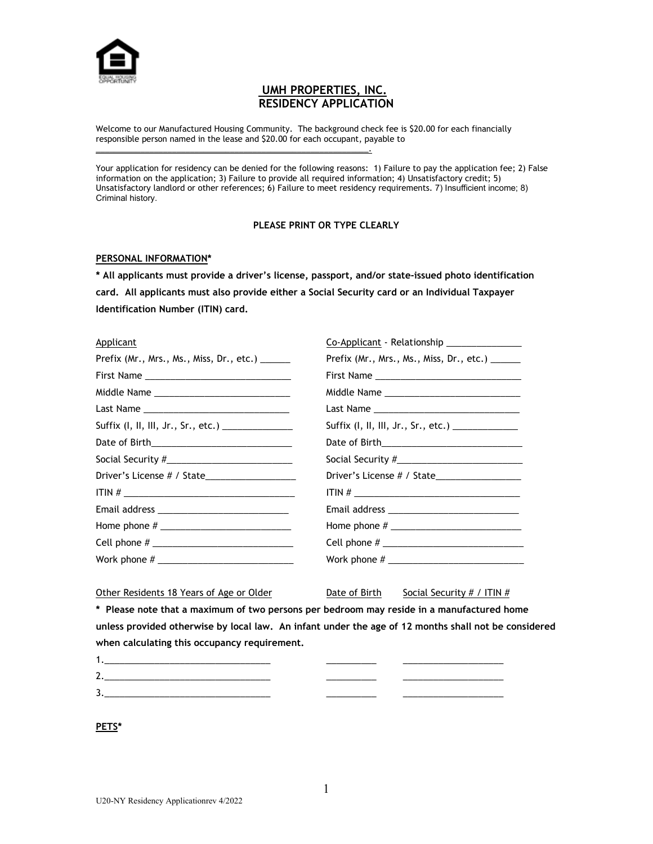

# **UMH PROPERTIES, INC. RESIDENCY APPLICATION**

Welcome to our Manufactured Housing Community. The background check fee is \$20.00 for each financially responsible person named in the lease and \$20.00 for each occupant, payable to

\_\_\_\_\_\_\_\_\_\_\_\_\_\_\_\_\_\_\_\_\_\_\_\_\_\_\_\_\_\_\_\_\_\_\_\_\_\_\_\_\_\_\_\_\_\_\_\_\_\_\_\_\_\_\_\_\_\_\_\_\_.

Your application for residency can be denied for the following reasons: 1) Failure to pay the application fee; 2) False information on the application; 3) Failure to provide all required information; 4) Unsatisfactory credit; 5) Unsatisfactory landlord or other references; 6) Failure to meet residency requirements. 7) Insufficient income; 8) Criminal history.

## **PLEASE PRINT OR TYPE CLEARLY**

### **PERSONAL INFORMATION\***

**\* All applicants must provide a driver's license, passport, and/or state-issued photo identification card. All applicants must also provide either a Social Security card or an Individual Taxpayer Identification Number (ITIN) card.**

### Applicant Co-Applicant - Relationship

| . .pp                                           |                                                 |
|-------------------------------------------------|-------------------------------------------------|
| Prefix (Mr., Mrs., Ms., Miss, Dr., etc.) ______ | Prefix (Mr., Mrs., Ms., Miss, Dr., etc.) ______ |
|                                                 |                                                 |
|                                                 |                                                 |
|                                                 |                                                 |
|                                                 | Suffix $(I, II, III, Jr., Sr., etc.)$           |
|                                                 |                                                 |
|                                                 |                                                 |
|                                                 |                                                 |
| $ITIN # _______$                                | ITIN # $\_$                                     |
|                                                 |                                                 |
|                                                 |                                                 |
|                                                 |                                                 |
|                                                 |                                                 |
|                                                 |                                                 |

Other Residents 18 Years of Age or Older Date of Birth Social Security # / ITIN  $#$ 

**\* Please note that a maximum of two persons per bedroom may reside in a manufactured home unless provided otherwise by local law. An infant under the age of 12 months shall not be considered when calculating this occupancy requirement.**

| <u></u>                                                                                                                                                                                                                              |             |  |
|--------------------------------------------------------------------------------------------------------------------------------------------------------------------------------------------------------------------------------------|-------------|--|
| <u> 1999 - Johann Harry Harry Harry Harry Harry Harry Harry Harry Harry Harry Harry Harry Harry Harry Harry Harry Harry Harry Harry Harry Harry Harry Harry Harry Harry Harry Harry Harry Harry Harry Harry Harry Harry Harry Ha</u> | ___________ |  |

**PETS\***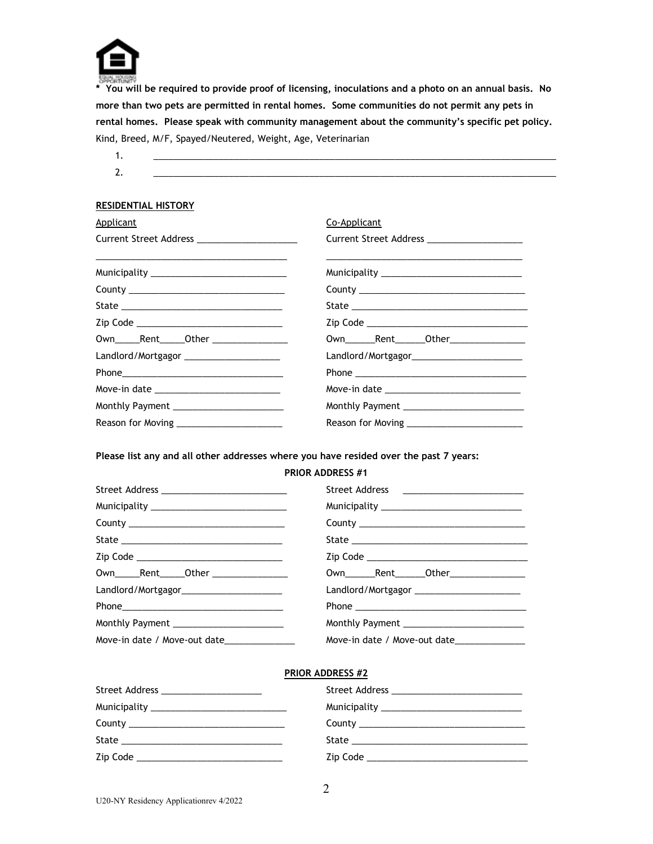

**\* You will be required to provide proof of licensing, inoculations and a photo on an annual basis. No more than two pets are permitted in rental homes. Some communities do not permit any pets in rental homes. Please speak with community management about the community's specific pet policy.** Kind, Breed, M/F, Spayed/Neutered, Weight, Age, Veterinarian

| . .      |  |            |  |
|----------|--|------------|--|
| -        |  |            |  |
| <b>.</b> |  | __________ |  |

## **RESIDENTIAL HISTORY**

| Applicant                                                                                                                                                             | Co-Applicant                                   |  |
|-----------------------------------------------------------------------------------------------------------------------------------------------------------------------|------------------------------------------------|--|
| Current Street Address _____________________                                                                                                                          | Current Street Address _____________________   |  |
| <u> 1980 - Jan James James James James James James James James James James James James James James James James J</u><br>Municipality ________________________________ |                                                |  |
| County ___________________________________                                                                                                                            |                                                |  |
|                                                                                                                                                                       |                                                |  |
| Zip Code _________________________________                                                                                                                            |                                                |  |
| 0wn_______Rent_______Other __________________                                                                                                                         |                                                |  |
| Landlord/Mortgagor ______________________                                                                                                                             | Landlord/Mortgagor_________________________    |  |
|                                                                                                                                                                       |                                                |  |
|                                                                                                                                                                       | Move-in date _________________________________ |  |
| Monthly Payment __________________________                                                                                                                            |                                                |  |
|                                                                                                                                                                       |                                                |  |

**Please list any and all other addresses where you have resided over the past 7 years:**

### **PRIOR ADDRESS #1**

| Street Address _____________________________  | Street Address _________________________     |
|-----------------------------------------------|----------------------------------------------|
| Municipality ________________________________ |                                              |
|                                               |                                              |
|                                               |                                              |
| Zip Code _________________________________    |                                              |
| Own______Rent______Other ________________     |                                              |
|                                               | Landlord/Mortgagor ________________________  |
|                                               |                                              |
| Monthly Payment _______________________       | Monthly Payment                              |
| Move-in date / Move-out date______________    | Move-in date / Move-out date________________ |

## **PRIOR ADDRESS #2**

| Street Address _______________________                                                                                                                                                                                         |  |
|--------------------------------------------------------------------------------------------------------------------------------------------------------------------------------------------------------------------------------|--|
|                                                                                                                                                                                                                                |  |
| County ___________________________________                                                                                                                                                                                     |  |
|                                                                                                                                                                                                                                |  |
| zip Code and the contract of the contract of the contract of the contract of the contract of the contract of the contract of the contract of the contract of the contract of the contract of the contract of the contract of t |  |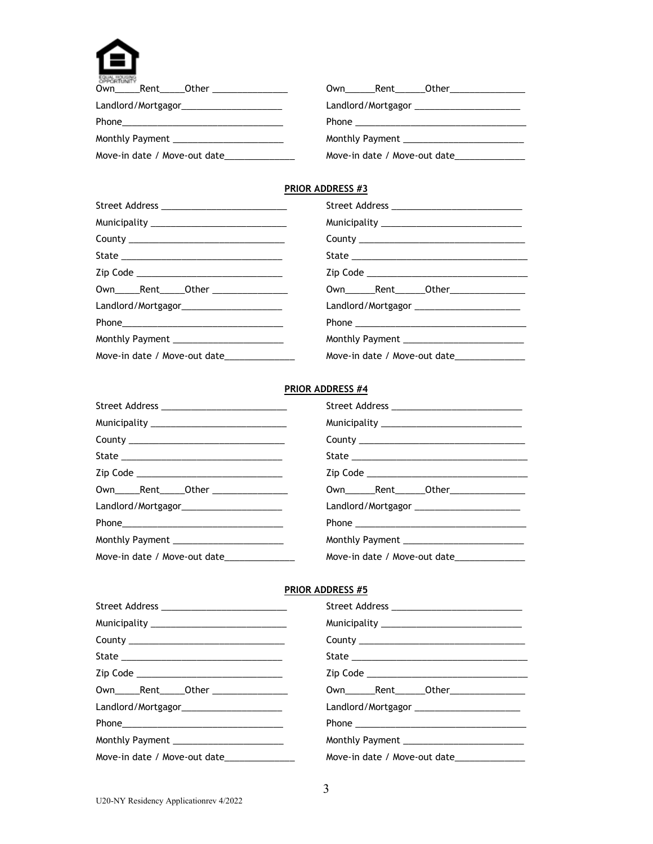

| <b>A STATE OF A STATE OF A STATE OF A</b><br>Own Rent Other <b>Canada Communist Communist Communist Communist Communist Communist Communist Communist Communist Communist Communist Communist Communist Communist Communist Communist Communist Communist Communist Communist</b> | Own Rent Other                               |
|-----------------------------------------------------------------------------------------------------------------------------------------------------------------------------------------------------------------------------------------------------------------------------------|----------------------------------------------|
| Landlord/Mortgagor_________________________                                                                                                                                                                                                                                       | Landlord/Mortgagor _________________________ |
|                                                                                                                                                                                                                                                                                   |                                              |
|                                                                                                                                                                                                                                                                                   |                                              |
| Move-in date / Move-out date_                                                                                                                                                                                                                                                     | Move-in date / Move-out date_                |

## **PRIOR ADDRESS #3**

| Street Address __________________________   | Street Address ________________________________ |  |
|---------------------------------------------|-------------------------------------------------|--|
|                                             |                                                 |  |
|                                             |                                                 |  |
|                                             |                                                 |  |
| Zip Code __________________________________ |                                                 |  |
| Own______Rent______Other ________________   |                                                 |  |
|                                             | Landlord/Mortgagor ________________________     |  |
|                                             |                                                 |  |
| Monthly Payment ________________________    |                                                 |  |
| Move-in date / Move-out date_______________ | Move-in date / Move-out date______________      |  |

## **PRIOR ADDRESS #4**

| Street Address _____________________________ | Street Address ______________________________   |  |  |
|----------------------------------------------|-------------------------------------------------|--|--|
|                                              |                                                 |  |  |
|                                              |                                                 |  |  |
|                                              |                                                 |  |  |
| Zip Code _________________________________   |                                                 |  |  |
| 0wn_______Rent_______0ther _________________ | 0wn_________Rent________Other__________________ |  |  |
|                                              | Landlord/Mortgagor ________________________     |  |  |
|                                              |                                                 |  |  |
|                                              | Monthly Payment ____________________________    |  |  |
| Move-in date / Move-out date______________   | Move-in date / Move-out date________________    |  |  |

## **PRIOR ADDRESS #5**

| Street Address ____________________________    |                                              |  |
|------------------------------------------------|----------------------------------------------|--|
| Municipality _________________________________ |                                              |  |
|                                                |                                              |  |
|                                                |                                              |  |
| Zip Code __________________________________    |                                              |  |
| 0wn_______Rent_______0ther __________________  |                                              |  |
| Landlord/Mortgagor_______________________      |                                              |  |
|                                                |                                              |  |
| Monthly Payment                                | Monthly Payment                              |  |
| Move-in date / Move-out date______________     | Move-in date / Move-out date________________ |  |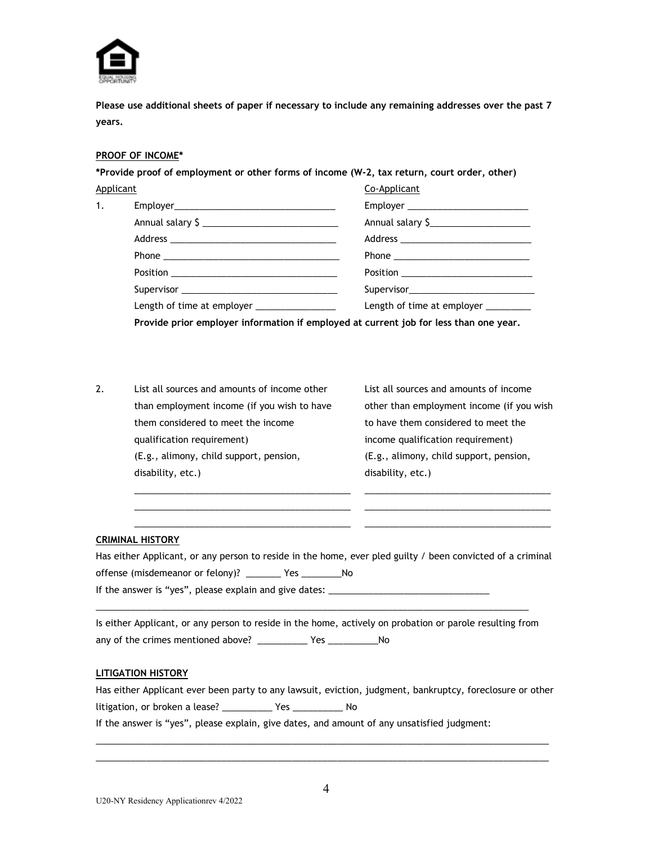

**Please use additional sheets of paper if necessary to include any remaining addresses over the past 7 years.**

## **PROOF OF INCOME\***

**\*Provide proof of employment or other forms of income (W-2, tax return, court order, other)**

| Applicant                                                                                                                              |  | Co-Applicant                          |  |
|----------------------------------------------------------------------------------------------------------------------------------------|--|---------------------------------------|--|
| 1.                                                                                                                                     |  | Employer ____________________________ |  |
|                                                                                                                                        |  | Annual salary \$                      |  |
|                                                                                                                                        |  |                                       |  |
| Length of time at employer __________________<br>Provide prior employer information if employed at current job for less than one year. |  |                                       |  |
|                                                                                                                                        |  |                                       |  |
|                                                                                                                                        |  |                                       |  |
|                                                                                                                                        |  | Length of time at employer ________   |  |
|                                                                                                                                        |  |                                       |  |

2. List all sources and amounts of income other List all sources and amounts of income than employment income (if you wish to have other than employment income (if you wish them considered to meet the income to have them considered to meet the qualification requirement) income qualification requirement) (E.g., alimony, child support, pension, (E.g., alimony, child support, pension, disability, etc.) and the disability, etc.)

## **CRIMINAL HISTORY**

Has either Applicant, or any person to reside in the home, ever pled guilty / been convicted of a criminal offense (misdemeanor or felony)? \_\_\_\_\_\_\_ Yes \_\_\_\_\_\_\_\_No If the answer is "yes", please explain and give dates: \_\_\_\_\_\_\_\_\_\_\_\_\_\_\_\_\_\_\_\_\_\_\_\_\_\_

\_\_\_\_\_\_\_\_\_\_\_\_\_\_\_\_\_\_\_\_\_\_\_\_\_\_\_\_\_\_\_\_\_\_\_\_\_\_\_\_\_\_\_ \_\_\_\_\_\_\_\_\_\_\_\_\_\_\_\_\_\_\_\_\_\_\_\_\_\_\_\_\_\_\_\_\_\_\_\_\_ \_\_\_\_\_\_\_\_\_\_\_\_\_\_\_\_\_\_\_\_\_\_\_\_\_\_\_\_\_\_\_\_\_\_\_\_\_\_\_\_\_\_\_ \_\_\_\_\_\_\_\_\_\_\_\_\_\_\_\_\_\_\_\_\_\_\_\_\_\_\_\_\_\_\_\_\_\_\_\_\_ \_\_\_\_\_\_\_\_\_\_\_\_\_\_\_\_\_\_\_\_\_\_\_\_\_\_\_\_\_\_\_\_\_\_\_\_\_\_\_\_\_\_\_ \_\_\_\_\_\_\_\_\_\_\_\_\_\_\_\_\_\_\_\_\_\_\_\_\_\_\_\_\_\_\_\_\_\_\_\_\_

Is either Applicant, or any person to reside in the home, actively on probation or parole resulting from any of the crimes mentioned above? \_\_\_\_\_\_\_\_\_\_\_\_ Yes \_\_\_\_\_\_\_\_\_\_\_\_\_\_ No

\_\_\_\_\_\_\_\_\_\_\_\_\_\_\_\_\_\_\_\_\_\_\_\_\_\_\_\_\_\_\_\_\_\_\_\_\_\_\_\_\_\_\_\_\_\_\_\_\_\_\_\_\_\_\_\_\_\_\_\_\_\_\_\_\_\_\_\_\_\_\_\_\_\_\_\_\_\_\_\_\_\_\_\_\_\_

### **LITIGATION HISTORY**

Has either Applicant ever been party to any lawsuit, eviction, judgment, bankruptcy, foreclosure or other litigation, or broken a lease? \_\_\_\_\_\_\_\_\_\_ Yes \_\_\_\_\_\_\_\_\_\_ No

\_\_\_\_\_\_\_\_\_\_\_\_\_\_\_\_\_\_\_\_\_\_\_\_\_\_\_\_\_\_\_\_\_\_\_\_\_\_\_\_\_\_\_\_\_\_\_\_\_\_\_\_\_\_\_\_\_\_\_\_\_\_\_\_\_\_\_\_\_\_\_\_\_\_\_\_\_\_\_\_\_\_\_\_\_\_\_\_\_\_ \_\_\_\_\_\_\_\_\_\_\_\_\_\_\_\_\_\_\_\_\_\_\_\_\_\_\_\_\_\_\_\_\_\_\_\_\_\_\_\_\_\_\_\_\_\_\_\_\_\_\_\_\_\_\_\_\_\_\_\_\_\_\_\_\_\_\_\_\_\_\_\_\_\_\_\_\_\_\_\_\_\_\_\_\_\_\_\_\_\_

If the answer is "yes", please explain, give dates, and amount of any unsatisfied judgment: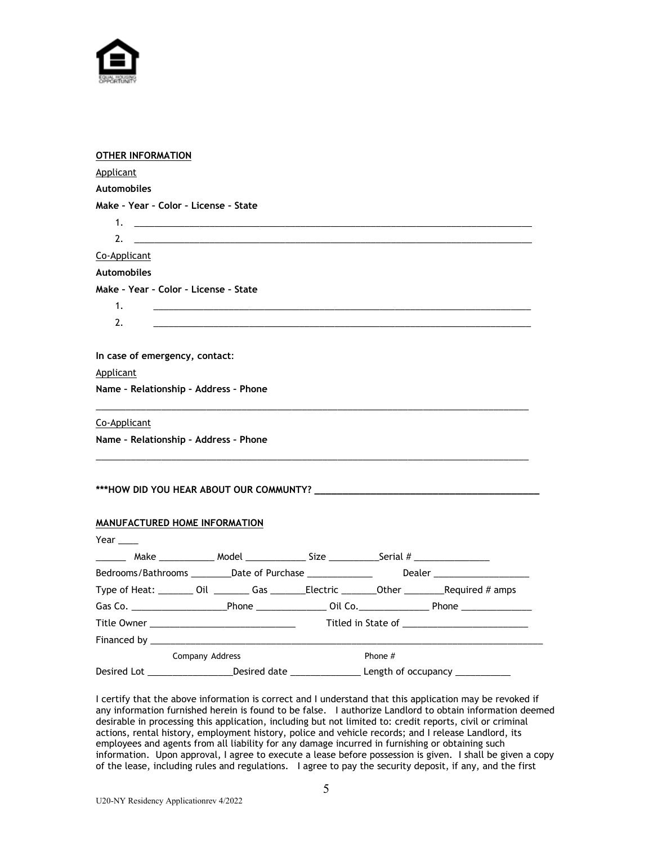

| <b>OTHER INFORMATION</b>                                                               |                 |  |           |                                                                                                            |
|----------------------------------------------------------------------------------------|-----------------|--|-----------|------------------------------------------------------------------------------------------------------------|
| Applicant                                                                              |                 |  |           |                                                                                                            |
| <b>Automobiles</b>                                                                     |                 |  |           |                                                                                                            |
| Make - Year - Color - License - State                                                  |                 |  |           |                                                                                                            |
| 1.                                                                                     |                 |  |           |                                                                                                            |
| 2.                                                                                     |                 |  |           |                                                                                                            |
| Co-Applicant                                                                           |                 |  |           |                                                                                                            |
| <b>Automobiles</b>                                                                     |                 |  |           |                                                                                                            |
| Make - Year - Color - License - State                                                  |                 |  |           |                                                                                                            |
| 1.                                                                                     |                 |  |           |                                                                                                            |
| 2.                                                                                     |                 |  |           |                                                                                                            |
|                                                                                        |                 |  |           |                                                                                                            |
| In case of emergency, contact:                                                         |                 |  |           |                                                                                                            |
| Applicant                                                                              |                 |  |           |                                                                                                            |
| Name - Relationship - Address - Phone                                                  |                 |  |           |                                                                                                            |
| Co-Applicant                                                                           |                 |  |           |                                                                                                            |
| Name - Relationship - Address - Phone                                                  |                 |  |           |                                                                                                            |
|                                                                                        |                 |  |           |                                                                                                            |
| ***HOW DID YOU HEAR ABOUT OUR COMMUNTY?                                                |                 |  |           |                                                                                                            |
| MANUFACTURED HOME INFORMATION                                                          |                 |  |           |                                                                                                            |
| Year $\qquad \qquad$                                                                   |                 |  |           |                                                                                                            |
| _______ Make ___________ Model ______________ Size ____________Serial # ______________ |                 |  |           |                                                                                                            |
| Bedrooms/Bathrooms __________Date of Purchase _______________                          |                 |  |           |                                                                                                            |
|                                                                                        |                 |  |           | Type of Heat: _________ Oil ___________ Gas __________Electric __________Other ____________Required # amps |
|                                                                                        |                 |  |           |                                                                                                            |
|                                                                                        |                 |  |           |                                                                                                            |
|                                                                                        |                 |  |           |                                                                                                            |
|                                                                                        | Company Address |  | Phone $#$ |                                                                                                            |
|                                                                                        |                 |  |           | Desired Lot __________________Desired date _____________________Length of occupancy _______________        |

I certify that the above information is correct and I understand that this application may be revoked if any information furnished herein is found to be false. I authorize Landlord to obtain information deemed desirable in processing this application, including but not limited to: credit reports, civil or criminal actions, rental history, employment history, police and vehicle records; and I release Landlord, its employees and agents from all liability for any damage incurred in furnishing or obtaining such information. Upon approval, I agree to execute a lease before possession is given. I shall be given a copy of the lease, including rules and regulations. I agree to pay the security deposit, if any, and the first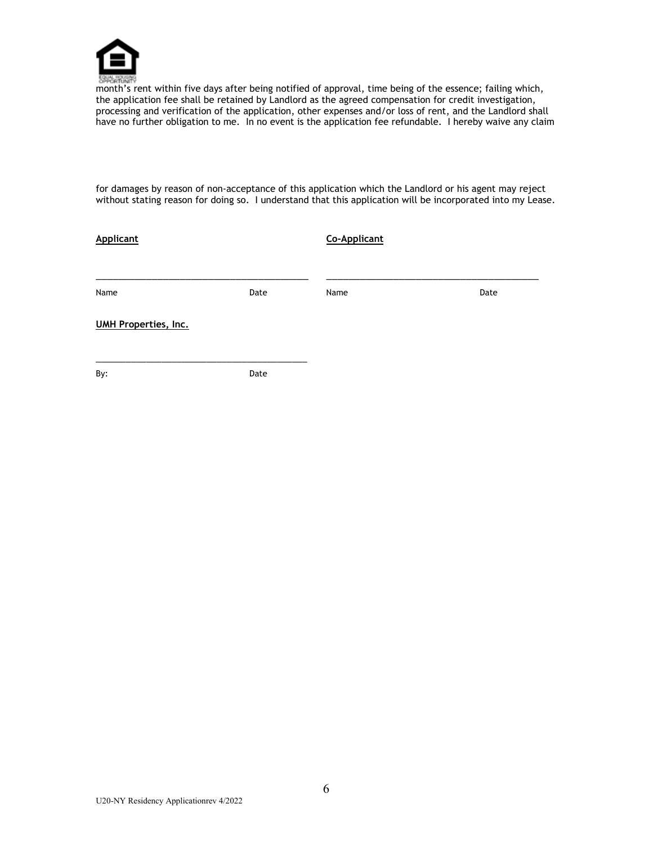

month's rent within five days after being notified of approval, time being of the essence; failing which, the application fee shall be retained by Landlord as the agreed compensation for credit investigation, processing and verification of the application, other expenses and/or loss of rent, and the Landlord shall have no further obligation to me. In no event is the application fee refundable. I hereby waive any claim

for damages by reason of non-acceptance of this application which the Landlord or his agent may reject without stating reason for doing so. I understand that this application will be incorporated into my Lease.

| <b>Applicant</b>            |      | Co-Applicant |      |
|-----------------------------|------|--------------|------|
|                             |      |              |      |
| Name                        | Date | Name         | Date |
| <b>UMH Properties, Inc.</b> |      |              |      |
|                             |      |              |      |
| By:                         | Date |              |      |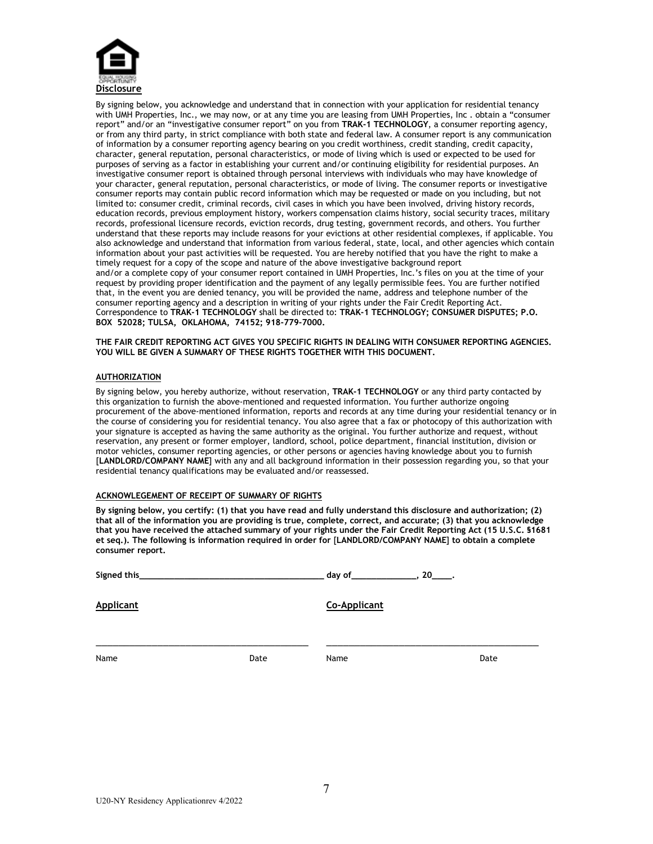

By signing below, you acknowledge and understand that in connection with your application for residential tenancy with UMH Properties, Inc., we may now, or at any time you are leasing from UMH Properties, Inc . obtain a "consumer report" and/or an "investigative consumer report" on you from **TRAK-1 TECHNOLOGY**, a consumer reporting agency, or from any third party, in strict compliance with both state and federal law. A consumer report is any communication of information by a consumer reporting agency bearing on you credit worthiness, credit standing, credit capacity, character, general reputation, personal characteristics, or mode of living which is used or expected to be used for purposes of serving as a factor in establishing your current and/or continuing eligibility for residential purposes. An investigative consumer report is obtained through personal interviews with individuals who may have knowledge of your character, general reputation, personal characteristics, or mode of living. The consumer reports or investigative consumer reports may contain public record information which may be requested or made on you including, but not limited to: consumer credit, criminal records, civil cases in which you have been involved, driving history records, education records, previous employment history, workers compensation claims history, social security traces, military records, professional licensure records, eviction records, drug testing, government records, and others. You further understand that these reports may include reasons for your evictions at other residential complexes, if applicable. You also acknowledge and understand that information from various federal, state, local, and other agencies which contain information about your past activities will be requested. You are hereby notified that you have the right to make a timely request for a copy of the scope and nature of the above investigative background report and/or a complete copy of your consumer report contained in UMH Properties, Inc.'s files on you at the time of your request by providing proper identification and the payment of any legally permissible fees. You are further notified that, in the event you are denied tenancy, you will be provided the name, address and telephone number of the consumer reporting agency and a description in writing of your rights under the Fair Credit Reporting Act. Correspondence to **TRAK-1 TECHNOLOGY** shall be directed to: **TRAK-1 TECHNOLOGY; CONSUMER DISPUTES; P.O. BOX 52028; TULSA, OKLAHOMA, 74152; 918-779-7000.**

**THE FAIR CREDIT REPORTING ACT GIVES YOU SPECIFIC RIGHTS IN DEALING WITH CONSUMER REPORTING AGENCIES. YOU WILL BE GIVEN A SUMMARY OF THESE RIGHTS TOGETHER WITH THIS DOCUMENT.**

#### **AUTHORIZATION**

By signing below, you hereby authorize, without reservation, **TRAK-1 TECHNOLOGY** or any third party contacted by this organization to furnish the above-mentioned and requested information. You further authorize ongoing procurement of the above-mentioned information, reports and records at any time during your residential tenancy or in the course of considering you for residential tenancy. You also agree that a fax or photocopy of this authorization with your signature is accepted as having the same authority as the original. You further authorize and request, without reservation, any present or former employer, landlord, school, police department, financial institution, division or motor vehicles, consumer reporting agencies, or other persons or agencies having knowledge about you to furnish [**LANDLORD/COMPANY NAME**] with any and all background information in their possession regarding you, so that your residential tenancy qualifications may be evaluated and/or reassessed.

#### **ACKNOWLEGEMENT OF RECEIPT OF SUMMARY OF RIGHTS**

**By signing below, you certify: (1) that you have read and fully understand this disclosure and authorization; (2) that all of the information you are providing is true, complete, correct, and accurate; (3) that you acknowledge that you have received the attached summary of your rights under the Fair Credit Reporting Act (15 U.S.C. §1681 et seq.). The following is information required in order for** [**LANDLORD/COMPANY NAME**] **to obtain a complete consumer report.**

| Signed this_     |      | day of<br>$.20$ — $.$ |      |
|------------------|------|-----------------------|------|
| <b>Applicant</b> |      | <b>Co-Applicant</b>   |      |
| Name             | Date | Name                  | Date |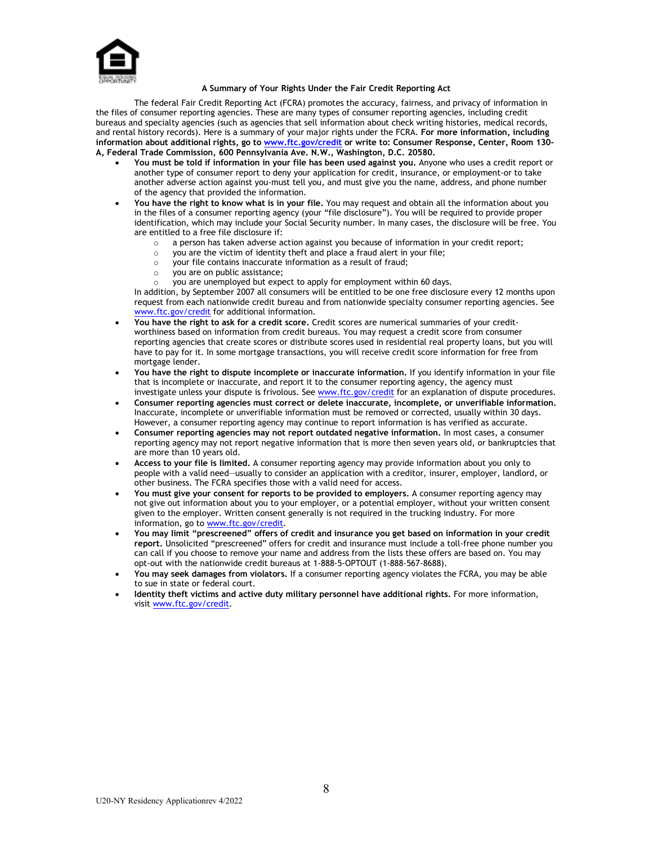

### **A Summary of Your Rights Under the Fair Credit Reporting Act**

The federal Fair Credit Reporting Act (FCRA) promotes the accuracy, fairness, and privacy of information in the files of consumer reporting agencies. These are many types of consumer reporting agencies, including credit bureaus and specialty agencies (such as agencies that sell information about check writing histories, medical records, and rental history records). Here is a summary of your major rights under the FCRA. **For more information, including information about additional rights, go t[o www.ftc.gov/credit](http://www.ftc.gov/credit) or write to: Consumer Response, Center, Room 130- A, Federal Trade Commission, 600 Pennsylvania Ave. N.W., Washington, D.C. 20580.**

- **You must be told if information in your file has been used against you.** Anyone who uses a credit report or another type of consumer report to deny your application for credit, insurance, or employment-or to take another adverse action against you-must tell you, and must give you the name, address, and phone number of the agency that provided the information.
- **You have the right to know what is in your file.** You may request and obtain all the information about you in the files of a consumer reporting agency (your "file disclosure"). You will be required to provide proper identification, which may include your Social Security number. In many cases, the disclosure will be free. You are entitled to a free file disclosure if:
	- $\circ$  a person has taken adverse action against you because of information in your credit report;<br> $\circ$  you are the victim of identity theft and place a fraud alert in your file;
		- you are the victim of identity theft and place a fraud alert in your file;
	- $\circ$  your file contains inaccurate information as a result of fraud;<br> $\circ$  you are on public assistance:
	- you are on public assistance;
		- you are unemployed but expect to apply for employment within 60 days.

In addition, by September 2007 all consumers will be entitled to be one free disclosure every 12 months upon request from each nationwide credit bureau and from nationwide specialty consumer reporting agencies. See [www.ftc.gov/credit](http://www.ftc.gov/credit) for additional information.

- **You have the right to ask for a credit score.** Credit scores are numerical summaries of your creditworthiness based on information from credit bureaus. You may request a credit score from consumer reporting agencies that create scores or distribute scores used in residential real property loans, but you will have to pay for it. In some mortgage transactions, you will receive credit score information for free from mortgage lender.
- **You have the right to dispute incomplete or inaccurate information.** If you identify information in your file that is incomplete or inaccurate, and report it to the consumer reporting agency, the agency must investigate unless your dispute is frivolous. See [www.ftc.gov/credit](http://www.ftc.gov/credit) for an explanation of dispute procedures.
- **Consumer reporting agencies must correct or delete inaccurate, incomplete, or unverifiable information.**  Inaccurate, incomplete or unverifiable information must be removed or corrected, usually within 30 days. However, a consumer reporting agency may continue to report information is has verified as accurate.
- **Consumer reporting agencies may not report outdated negative information.** In most cases, a consumer reporting agency may not report negative information that is more then seven years old, or bankruptcies that are more than 10 years old.
- **Access to your file is limited.** A consumer reporting agency may provide information about you only to people with a valid need—usually to consider an application with a creditor, insurer, employer, landlord, or other business. The FCRA specifies those with a valid need for access.
- **You must give your consent for reports to be provided to employers.** A consumer reporting agency may not give out information about you to your employer, or a potential employer, without your written consent given to the employer. Written consent generally is not required in the trucking industry. For more information, go to [www.ftc.gov/credit.](http://www.ftc.gov/credit)
- **You may limit "prescreened" offers of credit and insurance you get based on information in your credit report.** Unsolicited "prescreened" offers for credit and insurance must include a toll-free phone number you can call if you choose to remove your name and address from the lists these offers are based on. You may opt-out with the nationwide credit bureaus at 1-888-5-OPTOUT (1-888-567-8688).
- **You may seek damages from violators.** If a consumer reporting agency violates the FCRA, you may be able to sue in state or federal court.
- **Identity theft victims and active duty military personnel have additional rights.** For more information, visit [www.ftc.gov/credit.](http://www.ftc.gov/credit)